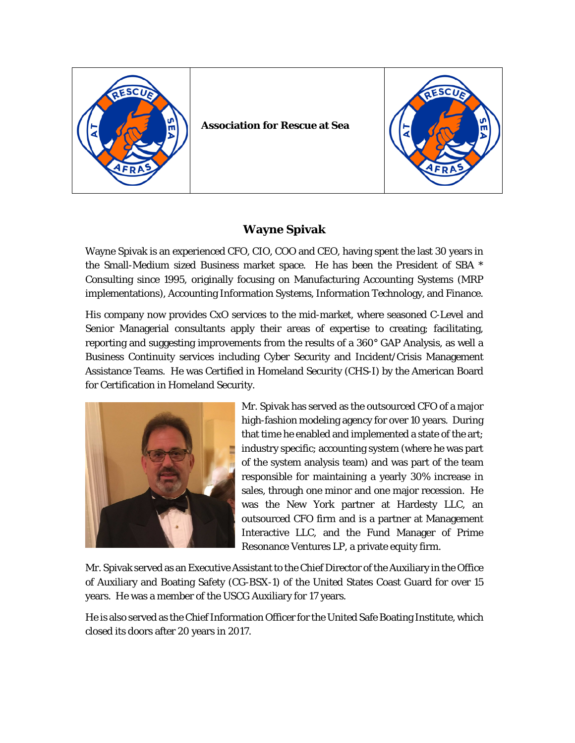

**Association for Rescue at Sea**



## **Wayne Spivak**

Wayne Spivak is an experienced CFO, CIO, COO and CEO, having spent the last 30 years in the Small-Medium sized Business market space. He has been the President of SBA \* Consulting since 1995, originally focusing on Manufacturing Accounting Systems (MRP implementations), Accounting Information Systems, Information Technology, and Finance.

His company now provides CxO services to the mid-market, where seasoned C-Level and Senior Managerial consultants apply their areas of expertise to creating; facilitating, reporting and suggesting improvements from the results of a 360° GAP Analysis, as well a Business Continuity services including Cyber Security and Incident/Crisis Management Assistance Teams. He was Certified in Homeland Security (CHS-I) by the American Board for Certification in Homeland Security.



Mr. Spivak has served as the outsourced CFO of a major high-fashion modeling agency for over 10 years. During that time he enabled and implemented a state of the art; industry specific; accounting system (where he was part of the system analysis team) and was part of the team responsible for maintaining a yearly 30% increase in sales, through one minor and one major recession. He was the New York partner at Hardesty LLC, an outsourced CFO firm and is a partner at Management Interactive LLC, and the Fund Manager of Prime Resonance Ventures LP, a private equity firm.

Mr. Spivak served as an Executive Assistant to the Chief Director of the Auxiliary in the Office of Auxiliary and Boating Safety (CG-BSX-1) of the United States Coast Guard for over 15 years. He was a member of the USCG Auxiliary for 17 years.

He is also served as the Chief Information Officer for the United Safe Boating Institute, which closed its doors after 20 years in 2017.